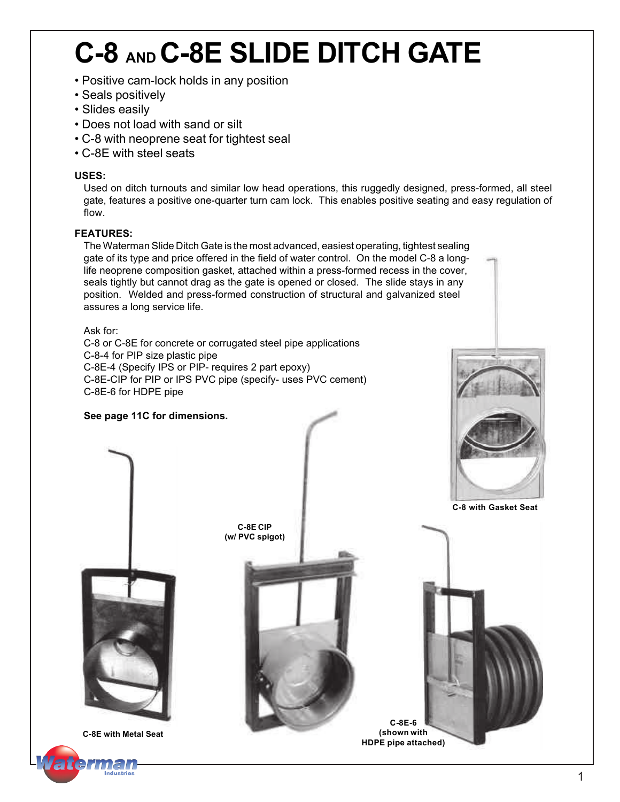# **C-8 AND C-8E SLIDE DITCH GATE**

- Positive cam-lock holds in any position
- Seals positively
- Slides easily
- Does not load with sand or silt

**See page 11C for dimensions.**

- C-8 with neoprene seat for tightest seal
- C-8E with steel seats

### **USES:**

Used on ditch turnouts and similar low head operations, this ruggedly designed, press-formed, all steel gate, features a positive one-quarter turn cam lock. This enables positive seating and easy regulation of flow.

## **FEATURES:**

The Waterman Slide Ditch Gate is the most advanced, easiest operating, tightest sealing gate of its type and price offered in the field of water control. On the model C-8 a longlife neoprene composition gasket, attached within a press-formed recess in the cover, seals tightly but cannot drag as the gate is opened or closed. The slide stays in any position. Welded and press-formed construction of structural and galvanized steel assures a long service life.

#### Ask for:

C-8 or C-8E for concrete or corrugated steel pipe applications C-8-4 for PIP size plastic pipe C-8E-4 (Specify IPS or PIP- requires 2 part epoxy) C-8E-CIP for PIP or IPS PVC pipe (specify- uses PVC cement) C-8E-6 for HDPE pipe



**C-8 with Gasket Seat**